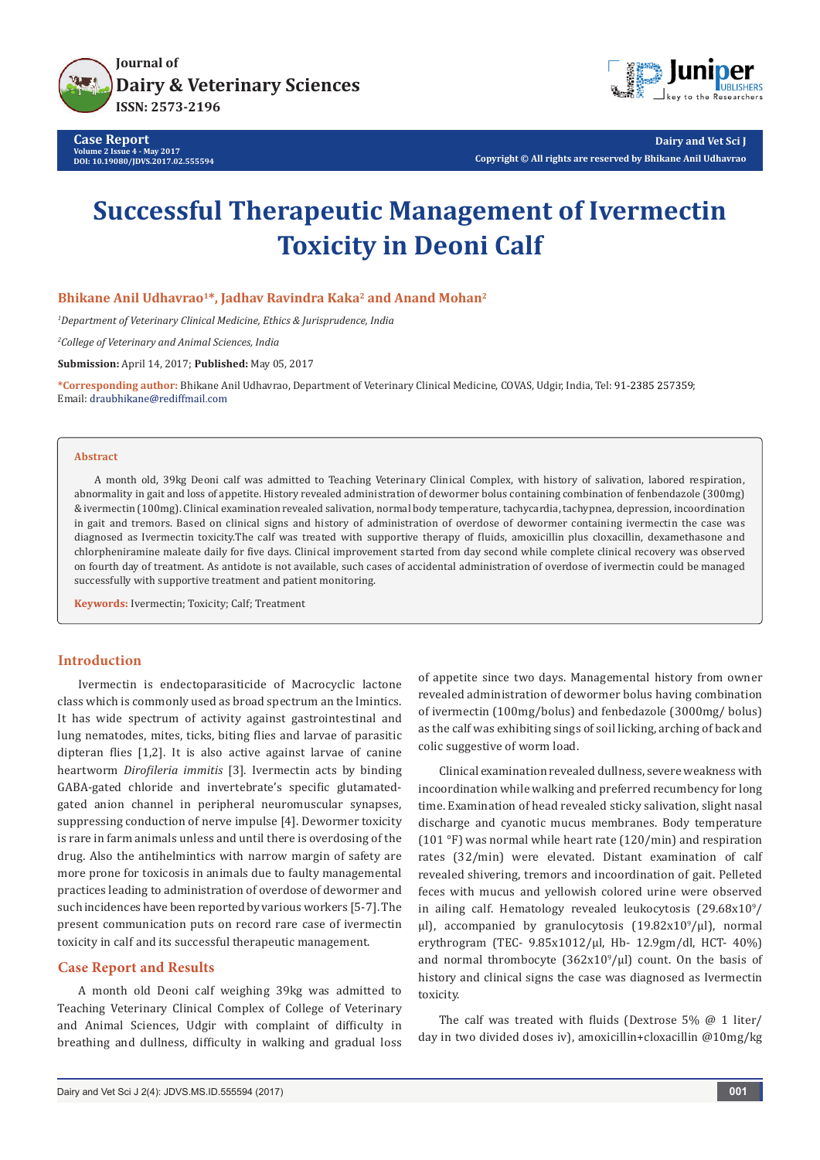

**Case Report Volume 2 Issue 4 - May 2017 DOI: [10.19080/JDVS.2017.02.555594](http://dx.doi.org/10.19080/JDVS.2017.02.555594
)**



**Dairy and Vet Sci J Copyright © All rights are reserved by Bhikane Anil Udhavrao**

# **Successful Therapeutic Management of Ivermectin Toxicity in Deoni Calf**

**Bhikane Anil Udhavrao1\*, Jadhav Ravindra Kaka2 and Anand Mohan2**

*1 Department of Veterinary Clinical Medicine, Ethics & Jurisprudence, India*

*2 College of Veterinary and Animal Sciences, India*

**Submission:** April 14, 2017; **Published:** May 05, 2017

**\*Corresponding author:** Bhikane Anil Udhavrao, Department of Veterinary Clinical Medicine, COVAS, Udgir, India, Tel: ; Email: draubhikane@rediffmail.com

#### **Abstract**

A month old, 39kg Deoni calf was admitted to Teaching Veterinary Clinical Complex, with history of salivation, labored respiration, abnormality in gait and loss of appetite. History revealed administration of dewormer bolus containing combination of fenbendazole (300mg) & ivermectin (100mg). Clinical examination revealed salivation, normal body temperature, tachycardia, tachypnea, depression, incoordination in gait and tremors. Based on clinical signs and history of administration of overdose of dewormer containing ivermectin the case was diagnosed as Ivermectin toxicity.The calf was treated with supportive therapy of fluids, amoxicillin plus cloxacillin, dexamethasone and chlorpheniramine maleate daily for five days. Clinical improvement started from day second while complete clinical recovery was observed on fourth day of treatment. As antidote is not available, such cases of accidental administration of overdose of ivermectin could be managed successfully with supportive treatment and patient monitoring.

**Keywords:** Ivermectin; Toxicity; Calf; Treatment

## **Introduction**

Ivermectin is endectoparasiticide of Macrocyclic lactone class which is commonly used as broad spectrum an the lmintics. It has wide spectrum of activity against gastrointestinal and lung nematodes, mites, ticks, biting flies and larvae of parasitic dipteran flies [1,2]. It is also active against larvae of canine heartworm *Dirofileria immitis* [3]. Ivermectin acts by binding GABA-gated chloride and invertebrate's specific glutamatedgated anion channel in peripheral neuromuscular synapses, suppressing conduction of nerve impulse [4]. Dewormer toxicity is rare in farm animals unless and until there is overdosing of the drug. Also the antihelmintics with narrow margin of safety are more prone for toxicosis in animals due to faulty managemental practices leading to administration of overdose of dewormer and such incidences have been reported by various workers [5-7]. The present communication puts on record rare case of ivermectin toxicity in calf and its successful therapeutic management.

## **Case Report and Results**

A month old Deoni calf weighing 39kg was admitted to Teaching Veterinary Clinical Complex of College of Veterinary and Animal Sciences, Udgir with complaint of difficulty in breathing and dullness, difficulty in walking and gradual loss of appetite since two days. Managemental history from owner revealed administration of dewormer bolus having combination of ivermectin (100mg/bolus) and fenbedazole (3000mg/ bolus) as the calf was exhibiting sings of soil licking, arching of back and colic suggestive of worm load.

Clinical examination revealed dullness, severe weakness with incoordination while walking and preferred recumbency for long time. Examination of head revealed sticky salivation, slight nasal discharge and cyanotic mucus membranes. Body temperature (101 °F) was normal while heart rate (120/min) and respiration rates (32/min) were elevated. Distant examination of calf revealed shivering, tremors and incoordination of gait. Pelleted feces with mucus and yellowish colored urine were observed in ailing calf. Hematology revealed leukocytosis  $(29.68x10<sup>9</sup>/$  $\mu$ ), accompanied by granulocytosis (19.82x10<sup>9</sup>/ $\mu$ ), normal erythrogram (TEC- 9.85x1012/µl, Hb- 12.9gm/dl, HCT- 40%) and normal thrombocyte  $(362x10^9/\mu l)$  count. On the basis of history and clinical signs the case was diagnosed as Ivermectin toxicity.

The calf was treated with fluids (Dextrose 5% @ 1 liter/ day in two divided doses iv), amoxicillin+cloxacillin @10mg/kg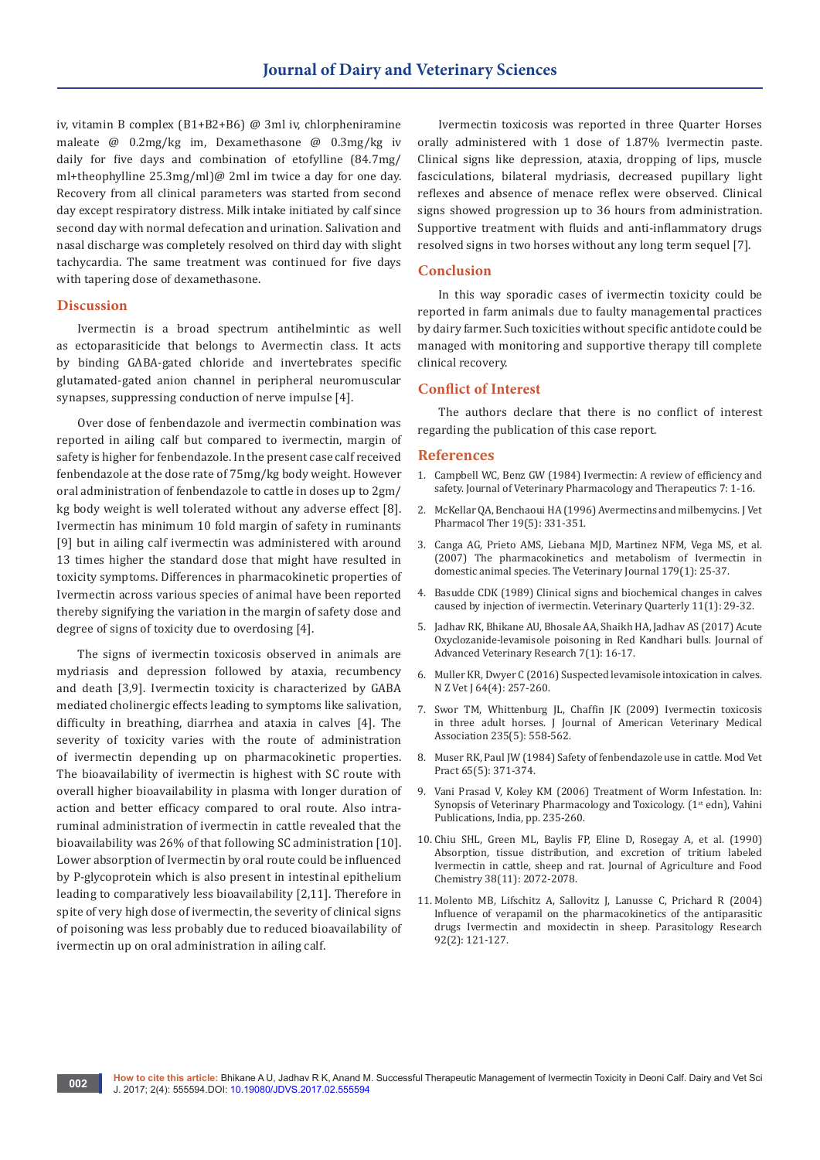iv, vitamin B complex (B1+B2+B6) @ 3ml iv, chlorpheniramine maleate @ 0.2mg/kg im, Dexamethasone @ 0.3mg/kg iv daily for five days and combination of etofylline (84.7mg/ ml+theophylline 25.3mg/ml)@ 2ml im twice a day for one day. Recovery from all clinical parameters was started from second day except respiratory distress. Milk intake initiated by calf since second day with normal defecation and urination. Salivation and nasal discharge was completely resolved on third day with slight tachycardia. The same treatment was continued for five days with tapering dose of dexamethasone.

#### **Discussion**

Ivermectin is a broad spectrum antihelmintic as well as ectoparasiticide that belongs to Avermectin class. It acts by binding GABA-gated chloride and invertebrates specific glutamated-gated anion channel in peripheral neuromuscular synapses, suppressing conduction of nerve impulse [4].

Over dose of fenbendazole and ivermectin combination was reported in ailing calf but compared to ivermectin, margin of safety is higher for fenbendazole. In the present case calf received fenbendazole at the dose rate of 75mg/kg body weight. However oral administration of fenbendazole to cattle in doses up to 2gm/ kg body weight is well tolerated without any adverse effect [8]. Ivermectin has minimum 10 fold margin of safety in ruminants [9] but in ailing calf ivermectin was administered with around 13 times higher the standard dose that might have resulted in toxicity symptoms. Differences in pharmacokinetic properties of Ivermectin across various species of animal have been reported thereby signifying the variation in the margin of safety dose and degree of signs of toxicity due to overdosing [4].

The signs of ivermectin toxicosis observed in animals are mydriasis and depression followed by ataxia, recumbency and death [3,9]. Ivermectin toxicity is characterized by GABA mediated cholinergic effects leading to symptoms like salivation, difficulty in breathing, diarrhea and ataxia in calves [4]. The severity of toxicity varies with the route of administration of ivermectin depending up on pharmacokinetic properties. The bioavailability of ivermectin is highest with SC route with overall higher bioavailability in plasma with longer duration of action and better efficacy compared to oral route. Also intraruminal administration of ivermectin in cattle revealed that the bioavailability was 26% of that following SC administration [10]. Lower absorption of Ivermectin by oral route could be influenced by P-glycoprotein which is also present in intestinal epithelium leading to comparatively less bioavailability [2,11]. Therefore in spite of very high dose of ivermectin, the severity of clinical signs of poisoning was less probably due to reduced bioavailability of ivermectin up on oral administration in ailing calf.

Ivermectin toxicosis was reported in three Quarter Horses orally administered with 1 dose of 1.87% Ivermectin paste. Clinical signs like depression, ataxia, dropping of lips, muscle fasciculations, bilateral mydriasis, decreased pupillary light reflexes and absence of menace reflex were observed. Clinical signs showed progression up to 36 hours from administration. Supportive treatment with fluids and anti-inflammatory drugs resolved signs in two horses without any long term sequel [7].

## **Conclusion**

In this way sporadic cases of ivermectin toxicity could be reported in farm animals due to faulty managemental practices by dairy farmer. Such toxicities without specific antidote could be managed with monitoring and supportive therapy till complete clinical recovery.

### **Conflict of Interest**

The authors declare that there is no conflict of interest regarding the publication of this case report.

#### **References**

- 1. Campbell WC, Benz GW (1984) Ivermectin: A review of efficiency and safety. Journal of Veterinary Pharmacology and Therapeutics 7: 1-16.
- 2. [McKellar QA, Benchaoui HA \(1996\) Avermectins and milbemycins. J Vet](https://www.ncbi.nlm.nih.gov/pubmed/8905567)  [Pharmacol Ther 19\(5\): 331-351.](https://www.ncbi.nlm.nih.gov/pubmed/8905567)
- 3. [Canga AG, Prieto AMS, Liebana MJD, Martinez NFM, Vega MS, et al.](https://www.ncbi.nlm.nih.gov/pubmed/17851096)  [\(2007\) The pharmacokinetics and metabolism of Ivermectin in](https://www.ncbi.nlm.nih.gov/pubmed/17851096)  [domestic animal species. The Veterinary Journal 179\(1\): 25-37.](https://www.ncbi.nlm.nih.gov/pubmed/17851096)
- 4. [Basudde CDK \(1989\) Clinical signs and biochemical changes in calves](http://www.tandfonline.com/doi/abs/10.1080/01652176.1989.9694193)  [caused by injection of ivermectin. Veterinary Quarterly 11\(1\): 29-32.](http://www.tandfonline.com/doi/abs/10.1080/01652176.1989.9694193)
- 5. Jadhav RK, Bhikane AU, Bhosale AA, Shaikh HA, Jadhav AS (2017) Acute Oxyclozanide-levamisole poisoning in Red Kandhari bulls. Journal of Advanced Veterinary Research 7(1): 16-17.
- 6. [Muller KR, Dwyer C \(2016\) Suspected levamisole intoxication in calves.](https://www.ncbi.nlm.nih.gov/pubmed/26878330)  [N Z Vet J 64\(4\): 257-260.](https://www.ncbi.nlm.nih.gov/pubmed/26878330)
- 7. [Swor TM, Whittenburg JL, Chaffin JK \(2009\) Ivermectin toxicosis](http://avmajournals.avma.org/doi/abs/10.2460/javma.235.5.558)  [in three adult horses. J Journal of American Veterinary Medical](http://avmajournals.avma.org/doi/abs/10.2460/javma.235.5.558)  [Association 235\(5\): 558-562.](http://avmajournals.avma.org/doi/abs/10.2460/javma.235.5.558)
- 8. [Muser RK, Paul JW \(1984\) Safety of fenbendazole use in cattle. Mod Vet](https://www.ncbi.nlm.nih.gov/pubmed/6738510)  [Pract 65\(5\): 371-374.](https://www.ncbi.nlm.nih.gov/pubmed/6738510)
- 9. Vani Prasad V, Koley KM (2006) Treatment of Worm Infestation. In: Synopsis of Veterinary Pharmacology and Toxicology. (1<sup>st</sup> edn), Vahini Publications, India, pp. 235-260.
- 10. [Chiu SHL, Green ML, Baylis FP, Eline D, Rosegay A, et al. \(1990\)](http://pubs.acs.org/doi/abs/10.1021/jf00101a015)  [Absorption, tissue distribution, and excretion of tritium labeled](http://pubs.acs.org/doi/abs/10.1021/jf00101a015)  [Ivermectin in cattle, sheep and rat. Journal of Agriculture and Food](http://pubs.acs.org/doi/abs/10.1021/jf00101a015)  [Chemistry 38\(11\): 2072-2078.](http://pubs.acs.org/doi/abs/10.1021/jf00101a015)
- 11. [Molento MB, Lifschitz A, Sallovitz J, Lanusse C, Prichard R \(2004\)](https://www.ncbi.nlm.nih.gov/pubmed/14634800)  [Influence of verapamil on the pharmacokinetics of the antiparasitic](https://www.ncbi.nlm.nih.gov/pubmed/14634800)  [drugs Ivermectin and moxidectin in sheep. Parasitology Research](https://www.ncbi.nlm.nih.gov/pubmed/14634800)  [92\(2\): 121-127.](https://www.ncbi.nlm.nih.gov/pubmed/14634800)